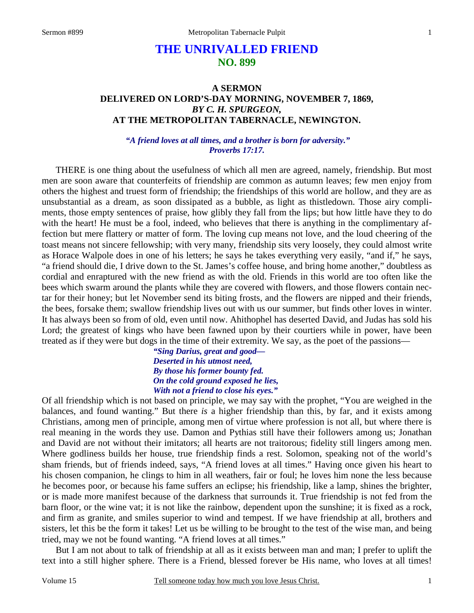# **THE UNRIVALLED FRIEND NO. 899**

### **A SERMON DELIVERED ON LORD'S-DAY MORNING, NOVEMBER 7, 1869,**  *BY C. H. SPURGEON,*  **AT THE METROPOLITAN TABERNACLE, NEWINGTON.**

 *"A friend loves at all times, and a brother is born for adversity." Proverbs 17:17.* 

THERE is one thing about the usefulness of which all men are agreed, namely, friendship. But most men are soon aware that counterfeits of friendship are common as autumn leaves; few men enjoy from others the highest and truest form of friendship; the friendships of this world are hollow, and they are as unsubstantial as a dream, as soon dissipated as a bubble, as light as thistledown. Those airy compliments, those empty sentences of praise, how glibly they fall from the lips; but how little have they to do with the heart! He must be a fool, indeed, who believes that there is anything in the complimentary affection but mere flattery or matter of form. The loving cup means not love, and the loud cheering of the toast means not sincere fellowship; with very many, friendship sits very loosely, they could almost write as Horace Walpole does in one of his letters; he says he takes everything very easily, "and if," he says, "a friend should die, I drive down to the St. James's coffee house, and bring home another," doubtless as cordial and enraptured with the new friend as with the old. Friends in this world are too often like the bees which swarm around the plants while they are covered with flowers, and those flowers contain nectar for their honey; but let November send its biting frosts, and the flowers are nipped and their friends, the bees, forsake them; swallow friendship lives out with us our summer, but finds other loves in winter. It has always been so from of old, even until now. Ahithophel has deserted David, and Judas has sold his Lord; the greatest of kings who have been fawned upon by their courtiers while in power, have been treated as if they were but dogs in the time of their extremity. We say, as the poet of the passions—

> *"Sing Darius, great and good— Deserted in his utmost need, By those his former bounty fed. On the cold ground exposed he lies, With not a friend to close his eyes."*

Of all friendship which is not based on principle, we may say with the prophet, "You are weighed in the balances, and found wanting." But there *is* a higher friendship than this, by far, and it exists among Christians, among men of principle, among men of virtue where profession is not all, but where there is real meaning in the words they use. Damon and Pythias still have their followers among us; Jonathan and David are not without their imitators; all hearts are not traitorous; fidelity still lingers among men. Where godliness builds her house, true friendship finds a rest. Solomon, speaking not of the world's sham friends, but of friends indeed, says, "A friend loves at all times." Having once given his heart to his chosen companion, he clings to him in all weathers, fair or foul; he loves him none the less because he becomes poor, or because his fame suffers an eclipse; his friendship, like a lamp, shines the brighter, or is made more manifest because of the darkness that surrounds it. True friendship is not fed from the barn floor, or the wine vat; it is not like the rainbow, dependent upon the sunshine; it is fixed as a rock, and firm as granite, and smiles superior to wind and tempest. If we have friendship at all, brothers and sisters, let this be the form it takes! Let us be willing to be brought to the test of the wise man, and being tried, may we not be found wanting. "A friend loves at all times."

 But I am not about to talk of friendship at all as it exists between man and man; I prefer to uplift the text into a still higher sphere. There is a Friend, blessed forever be His name, who loves at all times!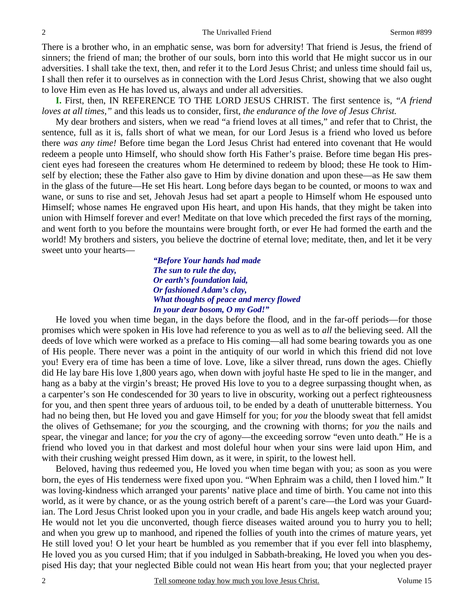There is a brother who, in an emphatic sense, was born for adversity! That friend is Jesus, the friend of sinners; the friend of man; the brother of our souls, born into this world that He might succor us in our adversities. I shall take the text, then, and refer it to the Lord Jesus Christ; and unless time should fail us, I shall then refer it to ourselves as in connection with the Lord Jesus Christ, showing that we also ought to love Him even as He has loved us, always and under all adversities.

**I.** First, then, IN REFERENCE TO THE LORD JESUS CHRIST. The first sentence is, *"A friend loves at all times,"* and this leads us to consider, first, *the endurance of the love of Jesus Christ.* 

 My dear brothers and sisters, when we read "a friend loves at all times," and refer that to Christ, the sentence, full as it is, falls short of what we mean, for our Lord Jesus is a friend who loved us before there *was any time!* Before time began the Lord Jesus Christ had entered into covenant that He would redeem a people unto Himself, who should show forth His Father's praise. Before time began His prescient eyes had foreseen the creatures whom He determined to redeem by blood; these He took to Himself by election; these the Father also gave to Him by divine donation and upon these—as He saw them in the glass of the future—He set His heart. Long before days began to be counted, or moons to wax and wane, or suns to rise and set, Jehovah Jesus had set apart a people to Himself whom He espoused unto Himself; whose names He engraved upon His heart, and upon His hands, that they might be taken into union with Himself forever and ever! Meditate on that love which preceded the first rays of the morning, and went forth to you before the mountains were brought forth, or ever He had formed the earth and the world! My brothers and sisters, you believe the doctrine of eternal love; meditate, then, and let it be very sweet unto your hearts—

> *"Before Your hands had made The sun to rule the day, Or earth's foundation laid, Or fashioned Adam's clay, What thoughts of peace and mercy flowed In your dear bosom, O my God!"*

He loved you when time began, in the days before the flood, and in the far-off periods—for those promises which were spoken in His love had reference to you as well as to *all* the believing seed. All the deeds of love which were worked as a preface to His coming—all had some bearing towards you as one of His people. There never was a point in the antiquity of our world in which this friend did not love you! Every era of time has been a time of love. Love, like a silver thread, runs down the ages. Chiefly did He lay bare His love 1,800 years ago, when down with joyful haste He sped to lie in the manger, and hang as a baby at the virgin's breast; He proved His love to you to a degree surpassing thought when, as a carpenter's son He condescended for 30 years to live in obscurity, working out a perfect righteousness for you, and then spent three years of arduous toil, to be ended by a death of unutterable bitterness. You had no being then, but He loved you and gave Himself for you; for *you* the bloody sweat that fell amidst the olives of Gethsemane; for *you* the scourging, and the crowning with thorns; for *you* the nails and spear, the vinegar and lance; for *you* the cry of agony—the exceeding sorrow "even unto death." He is a friend who loved you in that darkest and most doleful hour when your sins were laid upon Him, and with their crushing weight pressed Him down, as it were, in spirit, to the lowest hell.

 Beloved, having thus redeemed you, He loved you when time began with you; as soon as you were born, the eyes of His tenderness were fixed upon you. "When Ephraim was a child, then I loved him." It was loving-kindness which arranged your parents' native place and time of birth. You came not into this world, as it were by chance, or as the young ostrich bereft of a parent's care—the Lord was your Guardian. The Lord Jesus Christ looked upon you in your cradle, and bade His angels keep watch around you; He would not let you die unconverted, though fierce diseases waited around you to hurry you to hell; and when you grew up to manhood, and ripened the follies of youth into the crimes of mature years, yet He still loved you! O let your heart be humbled as you remember that if you ever fell into blasphemy, He loved you as you cursed Him; that if you indulged in Sabbath-breaking, He loved you when you despised His day; that your neglected Bible could not wean His heart from you; that your neglected prayer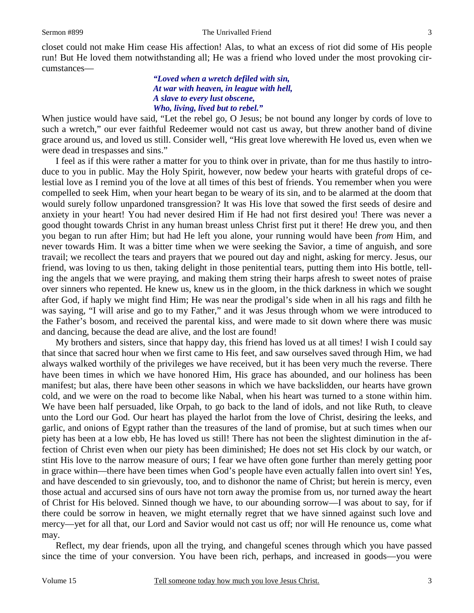closet could not make Him cease His affection! Alas, to what an excess of riot did some of His people run! But He loved them notwithstanding all; He was a friend who loved under the most provoking circumstances—

### *"Loved when a wretch defiled with sin, At war with heaven, in league with hell, A slave to every lust obscene, Who, living, lived but to rebel."*

When justice would have said, "Let the rebel go, O Jesus; be not bound any longer by cords of love to such a wretch," our ever faithful Redeemer would not cast us away, but threw another band of divine grace around us, and loved us still. Consider well, "His great love wherewith He loved us, even when we were dead in trespasses and sins."

 I feel as if this were rather a matter for you to think over in private, than for me thus hastily to introduce to you in public. May the Holy Spirit, however, now bedew your hearts with grateful drops of celestial love as I remind you of the love at all times of this best of friends. You remember when you were compelled to seek Him, when your heart began to be weary of its sin, and to be alarmed at the doom that would surely follow unpardoned transgression? It was His love that sowed the first seeds of desire and anxiety in your heart! You had never desired Him if He had not first desired you! There was never a good thought towards Christ in any human breast unless Christ first put it there! He drew you, and then you began to run after Him; but had He left you alone, your running would have been *from* Him, and never towards Him. It was a bitter time when we were seeking the Savior, a time of anguish, and sore travail; we recollect the tears and prayers that we poured out day and night, asking for mercy. Jesus, our friend, was loving to us then, taking delight in those penitential tears, putting them into His bottle, telling the angels that we were praying, and making them string their harps afresh to sweet notes of praise over sinners who repented. He knew us, knew us in the gloom, in the thick darkness in which we sought after God, if haply we might find Him; He was near the prodigal's side when in all his rags and filth he was saying, "I will arise and go to my Father," and it was Jesus through whom we were introduced to the Father's bosom, and received the parental kiss, and were made to sit down where there was music and dancing, because the dead are alive, and the lost are found!

 My brothers and sisters, since that happy day, this friend has loved us at all times! I wish I could say that since that sacred hour when we first came to His feet, and saw ourselves saved through Him, we had always walked worthily of the privileges we have received, but it has been very much the reverse. There have been times in which we have honored Him, His grace has abounded, and our holiness has been manifest; but alas, there have been other seasons in which we have backslidden, our hearts have grown cold, and we were on the road to become like Nabal, when his heart was turned to a stone within him. We have been half persuaded, like Orpah, to go back to the land of idols, and not like Ruth, to cleave unto the Lord our God. Our heart has played the harlot from the love of Christ, desiring the leeks, and garlic, and onions of Egypt rather than the treasures of the land of promise, but at such times when our piety has been at a low ebb, He has loved us still! There has not been the slightest diminution in the affection of Christ even when our piety has been diminished; He does not set His clock by our watch, or stint His love to the narrow measure of ours; I fear we have often gone further than merely getting poor in grace within—there have been times when God's people have even actually fallen into overt sin! Yes, and have descended to sin grievously, too, and to dishonor the name of Christ; but herein is mercy, even those actual and accursed sins of ours have not torn away the promise from us, nor turned away the heart of Christ for His beloved. Sinned though we have, to our abounding sorrow—I was about to say, for if there could be sorrow in heaven, we might eternally regret that we have sinned against such love and mercy—yet for all that, our Lord and Savior would not cast us off; nor will He renounce us, come what may.

 Reflect, my dear friends, upon all the trying, and changeful scenes through which you have passed since the time of your conversion. You have been rich, perhaps, and increased in goods—you were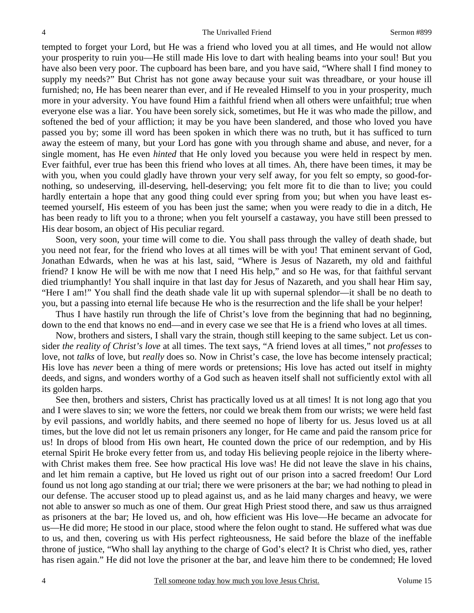tempted to forget your Lord, but He was a friend who loved you at all times, and He would not allow your prosperity to ruin you—He still made His love to dart with healing beams into your soul! But you have also been very poor. The cupboard has been bare, and you have said, "Where shall I find money to supply my needs?" But Christ has not gone away because your suit was threadbare, or your house ill furnished; no, He has been nearer than ever, and if He revealed Himself to you in your prosperity, much more in your adversity. You have found Him a faithful friend when all others were unfaithful; true when everyone else was a liar. You have been sorely sick, sometimes, but He it was who made the pillow, and softened the bed of your affliction; it may be you have been slandered, and those who loved you have passed you by; some ill word has been spoken in which there was no truth, but it has sufficed to turn away the esteem of many, but your Lord has gone with you through shame and abuse, and never, for a single moment, has He even *hinted* that He only loved you because you were held in respect by men. Ever faithful, ever true has been this friend who loves at all times. Ah, there have been times, it may be with you, when you could gladly have thrown your very self away, for you felt so empty, so good-fornothing, so undeserving, ill-deserving, hell-deserving; you felt more fit to die than to live; you could hardly entertain a hope that any good thing could ever spring from you; but when you have least esteemed yourself, His esteem of you has been just the same; when you were ready to die in a ditch, He has been ready to lift you to a throne; when you felt yourself a castaway, you have still been pressed to His dear bosom, an object of His peculiar regard.

 Soon, very soon, your time will come to die. You shall pass through the valley of death shade, but you need not fear, for the friend who loves at all times will be with you! That eminent servant of God, Jonathan Edwards, when he was at his last, said, "Where is Jesus of Nazareth, my old and faithful friend? I know He will be with me now that I need His help," and so He was, for that faithful servant died triumphantly! You shall inquire in that last day for Jesus of Nazareth, and you shall hear Him say, "Here I am!" You shall find the death shade vale lit up with supernal splendor—it shall be no death to you, but a passing into eternal life because He who is the resurrection and the life shall be your helper!

 Thus I have hastily run through the life of Christ's love from the beginning that had no beginning, down to the end that knows no end—and in every case we see that He is a friend who loves at all times.

 Now, brothers and sisters, I shall vary the strain, though still keeping to the same subject. Let us consider *the reality of Christ's love* at all times. The text says, "A friend loves at all times," not *professes* to love, not *talks* of love, but *really* does so. Now in Christ's case, the love has become intensely practical; His love has *never* been a thing of mere words or pretensions; His love has acted out itself in mighty deeds, and signs, and wonders worthy of a God such as heaven itself shall not sufficiently extol with all its golden harps.

 See then, brothers and sisters, Christ has practically loved us at all times! It is not long ago that you and I were slaves to sin; we wore the fetters, nor could we break them from our wrists; we were held fast by evil passions, and worldly habits, and there seemed no hope of liberty for us. Jesus loved us at all times, but the love did not let us remain prisoners any longer, for He came and paid the ransom price for us! In drops of blood from His own heart, He counted down the price of our redemption, and by His eternal Spirit He broke every fetter from us, and today His believing people rejoice in the liberty wherewith Christ makes them free. See how practical His love was! He did not leave the slave in his chains, and let him remain a captive, but He loved us right out of our prison into a sacred freedom! Our Lord found us not long ago standing at our trial; there we were prisoners at the bar; we had nothing to plead in our defense. The accuser stood up to plead against us, and as he laid many charges and heavy, we were not able to answer so much as one of them. Our great High Priest stood there, and saw us thus arraigned as prisoners at the bar; He loved us, and oh, how efficient was His love—He became an advocate for us—He did more; He stood in our place, stood where the felon ought to stand. He suffered what was due to us, and then, covering us with His perfect righteousness, He said before the blaze of the ineffable throne of justice, "Who shall lay anything to the charge of God's elect? It is Christ who died, yes, rather has risen again." He did not love the prisoner at the bar, and leave him there to be condemned; He loved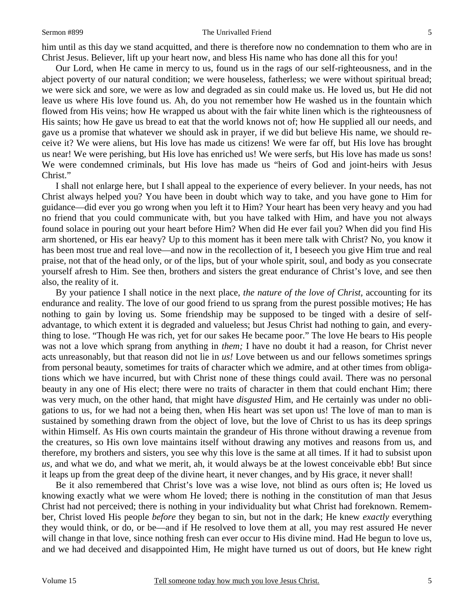#### Sermon #899 The Unrivalled Friend

him until as this day we stand acquitted, and there is therefore now no condemnation to them who are in Christ Jesus. Believer, lift up your heart now, and bless His name who has done all this for you!

 Our Lord, when He came in mercy to us, found us in the rags of our self-righteousness, and in the abject poverty of our natural condition; we were houseless, fatherless; we were without spiritual bread; we were sick and sore, we were as low and degraded as sin could make us. He loved us, but He did not leave us where His love found us. Ah, do you not remember how He washed us in the fountain which flowed from His veins; how He wrapped us about with the fair white linen which is the righteousness of His saints; how He gave us bread to eat that the world knows not of; how He supplied all our needs, and gave us a promise that whatever we should ask in prayer, if we did but believe His name, we should receive it? We were aliens, but His love has made us citizens! We were far off, but His love has brought us near! We were perishing, but His love has enriched us! We were serfs, but His love has made us sons! We were condemned criminals, but His love has made us "heirs of God and joint-heirs with Jesus Christ."

 I shall not enlarge here, but I shall appeal to the experience of every believer. In your needs, has not Christ always helped you? You have been in doubt which way to take, and you have gone to Him for guidance—did ever you go wrong when you left it to Him? Your heart has been very heavy and you had no friend that you could communicate with, but you have talked with Him, and have you not always found solace in pouring out your heart before Him? When did He ever fail you? When did you find His arm shortened, or His ear heavy? Up to this moment has it been mere talk with Christ? No, you know it has been most true and real love—and now in the recollection of it, I beseech you give Him true and real praise, not that of the head only, or of the lips, but of your whole spirit, soul, and body as you consecrate yourself afresh to Him. See then, brothers and sisters the great endurance of Christ's love, and see then also, the reality of it.

 By your patience I shall notice in the next place, *the nature of the love of Christ,* accounting for its endurance and reality. The love of our good friend to us sprang from the purest possible motives; He has nothing to gain by loving us. Some friendship may be supposed to be tinged with a desire of selfadvantage, to which extent it is degraded and valueless; but Jesus Christ had nothing to gain, and everything to lose. "Though He was rich, yet for our sakes He became poor." The love He bears to His people was not a love which sprang from anything in *them;* I have no doubt it had a reason, for Christ never acts unreasonably, but that reason did not lie in *us!* Love between us and our fellows sometimes springs from personal beauty, sometimes for traits of character which we admire, and at other times from obligations which we have incurred, but with Christ none of these things could avail. There was no personal beauty in any one of His elect; there were no traits of character in them that could enchant Him; there was very much, on the other hand, that might have *disgusted* Him, and He certainly was under no obligations to us, for we had not a being then, when His heart was set upon us! The love of man to man is sustained by something drawn from the object of love, but the love of Christ to us has its deep springs within Himself. As His own courts maintain the grandeur of His throne without drawing a revenue from the creatures, so His own love maintains itself without drawing any motives and reasons from us, and therefore, my brothers and sisters, you see why this love is the same at all times. If it had to subsist upon *us,* and what we do, and what we merit, ah, it would always be at the lowest conceivable ebb! But since it leaps up from the great deep of the divine heart, it never changes, and by His grace, it never shall!

 Be it also remembered that Christ's love was a wise love, not blind as ours often is; He loved us knowing exactly what we were whom He loved; there is nothing in the constitution of man that Jesus Christ had not perceived; there is nothing in your individuality but what Christ had foreknown. Remember, Christ loved His people *before* they began to sin, but not in the dark; He knew *exactly* everything they would think, or do, or be—and if He resolved to love them at all, you may rest assured He never will change in that love, since nothing fresh can ever occur to His divine mind. Had He begun to love us, and we had deceived and disappointed Him, He might have turned us out of doors, but He knew right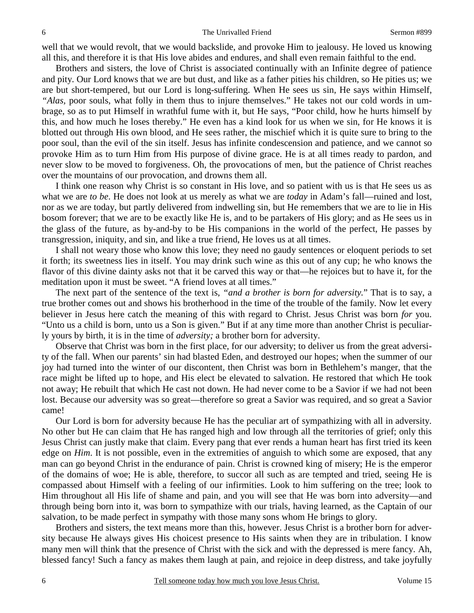well that we would revolt, that we would backslide, and provoke Him to jealousy. He loved us knowing all this, and therefore it is that His love abides and endures, and shall even remain faithful to the end.

 Brothers and sisters, the love of Christ is associated continually with an Infinite degree of patience and pity. Our Lord knows that we are but dust, and like as a father pities his children, so He pities us; we are but short-tempered, but our Lord is long-suffering. When He sees us sin, He says within Himself, *"Alas,* poor souls, what folly in them thus to injure themselves." He takes not our cold words in umbrage, so as to put Himself in wrathful fume with it, but He says, "Poor child, how he hurts himself by this, and how much he loses thereby." He even has a kind look for us when we sin, for He knows it is blotted out through His own blood, and He sees rather, the mischief which it is quite sure to bring to the poor soul, than the evil of the sin itself. Jesus has infinite condescension and patience, and we cannot so provoke Him as to turn Him from His purpose of divine grace. He is at all times ready to pardon, and never slow to be moved to forgiveness. Oh, the provocations of men, but the patience of Christ reaches over the mountains of our provocation, and drowns them all.

 I think one reason why Christ is so constant in His love, and so patient with us is that He sees us as what we are *to be*. He does not look at us merely as what we are *today* in Adam's fall—ruined and lost, nor as we are today, but partly delivered from indwelling sin, but He remembers that we are to lie in His bosom forever; that we are to be exactly like He is, and to be partakers of His glory; and as He sees us in the glass of the future, as by-and-by to be His companions in the world of the perfect, He passes by transgression, iniquity, and sin, and like a true friend, He loves us at all times.

 I shall not weary those who know this love; they need no gaudy sentences or eloquent periods to set it forth; its sweetness lies in itself. You may drink such wine as this out of any cup; he who knows the flavor of this divine dainty asks not that it be carved this way or that—he rejoices but to have it, for the meditation upon it must be sweet. "A friend loves at all times."

 The next part of the sentence of the text is, *"and a brother is born for adversity.*" That is to say, a true brother comes out and shows his brotherhood in the time of the trouble of the family. Now let every believer in Jesus here catch the meaning of this with regard to Christ. Jesus Christ was born *for* you. "Unto us a child is born, unto us a Son is given." But if at any time more than another Christ is peculiarly yours by birth, it is in the time of *adversity;* a brother born for adversity.

Observe that Christ was born in the first place, for our adversity; to deliver us from the great adversity of the fall. When our parents' sin had blasted Eden, and destroyed our hopes; when the summer of our joy had turned into the winter of our discontent, then Christ was born in Bethlehem's manger, that the race might be lifted up to hope, and His elect be elevated to salvation. He restored that which He took not away; He rebuilt that which He cast not down. He had never come to be a Savior if we had not been lost. Because our adversity was so great—therefore so great a Savior was required, and so great a Savior came!

 Our Lord is born for adversity because He has the peculiar art of sympathizing with all in adversity. No other but He can claim that He has ranged high and low through all the territories of grief; only this Jesus Christ can justly make that claim. Every pang that ever rends a human heart has first tried its keen edge on *Him*. It is not possible, even in the extremities of anguish to which some are exposed, that any man can go beyond Christ in the endurance of pain. Christ is crowned king of misery; He is the emperor of the domains of woe; He is able, therefore, to succor all such as are tempted and tried, seeing He is compassed about Himself with a feeling of our infirmities. Look to him suffering on the tree; look to Him throughout all His life of shame and pain, and you will see that He was born into adversity—and through being born into it, was born to sympathize with our trials, having learned, as the Captain of our salvation, to be made perfect in sympathy with those many sons whom He brings to glory.

 Brothers and sisters, the text means more than this, however. Jesus Christ is a brother born for adversity because He always gives His choicest presence to His saints when they are in tribulation. I know many men will think that the presence of Christ with the sick and with the depressed is mere fancy. Ah, blessed fancy! Such a fancy as makes them laugh at pain, and rejoice in deep distress, and take joyfully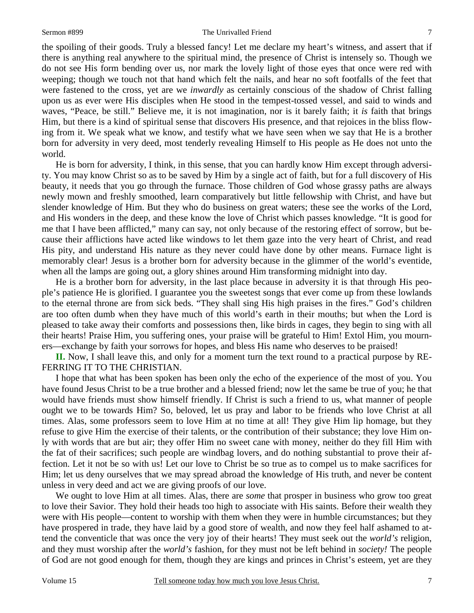#### Sermon #899 The Unrivalled Friend

the spoiling of their goods. Truly a blessed fancy! Let me declare my heart's witness, and assert that if there is anything real anywhere to the spiritual mind, the presence of Christ is intensely so. Though we do not see His form bending over us, nor mark the lovely light of those eyes that once were red with weeping; though we touch not that hand which felt the nails, and hear no soft footfalls of the feet that were fastened to the cross, yet are we *inwardly* as certainly conscious of the shadow of Christ falling upon us as ever were His disciples when He stood in the tempest-tossed vessel, and said to winds and waves, "Peace, be still." Believe me, it is not imagination, nor is it barely faith; it *is* faith that brings Him, but there is a kind of spiritual sense that discovers His presence, and that rejoices in the bliss flowing from it. We speak what we know, and testify what we have seen when we say that He is a brother born for adversity in very deed, most tenderly revealing Himself to His people as He does not unto the world.

 He is born for adversity, I think, in this sense, that you can hardly know Him except through adversity. You may know Christ so as to be saved by Him by a single act of faith, but for a full discovery of His beauty, it needs that you go through the furnace. Those children of God whose grassy paths are always newly mown and freshly smoothed, learn comparatively but little fellowship with Christ, and have but slender knowledge of Him. But they who do business on great waters; these see the works of the Lord, and His wonders in the deep, and these know the love of Christ which passes knowledge. "It is good for me that I have been afflicted," many can say, not only because of the restoring effect of sorrow, but because their afflictions have acted like windows to let them gaze into the very heart of Christ, and read His pity, and understand His nature as they never could have done by other means. Furnace light is memorably clear! Jesus is a brother born for adversity because in the glimmer of the world's eventide, when all the lamps are going out, a glory shines around Him transforming midnight into day.

 He is a brother born for adversity, in the last place because in adversity it is that through His people's patience He is glorified. I guarantee you the sweetest songs that ever come up from these lowlands to the eternal throne are from sick beds. "They shall sing His high praises in the fires." God's children are too often dumb when they have much of this world's earth in their mouths; but when the Lord is pleased to take away their comforts and possessions then, like birds in cages, they begin to sing with all their hearts! Praise Him, you suffering ones, your praise will be grateful to Him! Extol Him, you mourners—exchange by faith your sorrows for hopes, and bless His name who deserves to be praised!

**II.** Now, I shall leave this, and only for a moment turn the text round to a practical purpose by RE-FERRING IT TO THE CHRISTIAN.

 I hope that what has been spoken has been only the echo of the experience of the most of you. You have found Jesus Christ to be a true brother and a blessed friend; now let the same be true of you; he that would have friends must show himself friendly. If Christ is such a friend to us, what manner of people ought we to be towards Him? So, beloved, let us pray and labor to be friends who love Christ at all times. Alas, some professors seem to love Him at no time at all! They give Him lip homage, but they refuse to give Him the exercise of their talents, or the contribution of their substance; they love Him only with words that are but air; they offer Him no sweet cane with money, neither do they fill Him with the fat of their sacrifices; such people are windbag lovers, and do nothing substantial to prove their affection. Let it not be so with us! Let our love to Christ be so true as to compel us to make sacrifices for Him; let us deny ourselves that we may spread abroad the knowledge of His truth, and never be content unless in very deed and act we are giving proofs of our love.

 We ought to love Him at all times. Alas, there are *some* that prosper in business who grow too great to love their Savior. They hold their heads too high to associate with His saints. Before their wealth they were with His people—content to worship with them when they were in humble circumstances; but they have prospered in trade, they have laid by a good store of wealth, and now they feel half ashamed to attend the conventicle that was once the very joy of their hearts! They must seek out the *world's* religion, and they must worship after the *world's* fashion, for they must not be left behind in *society!* The people of God are not good enough for them, though they are kings and princes in Christ's esteem, yet are they